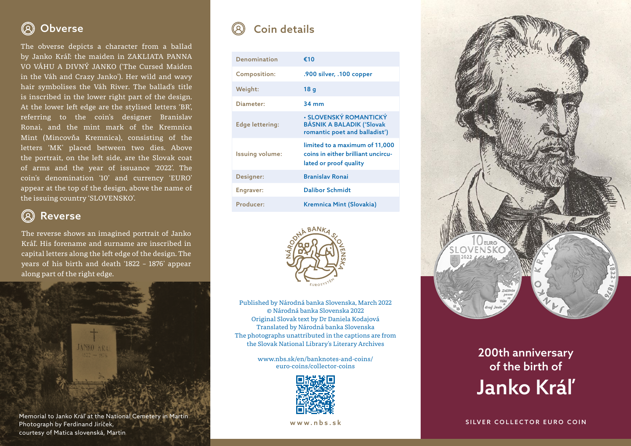## $\left( 8\right)$

The obverse depicts a character from a ballad by Janko Kráľ: the maiden in ZAKLIATA PANNA VO VÁHU A DIVNÝ JANKO ('The Cursed Maiden in the Váh and Crazy Janko'). Her wild and wavy hair symbolises the Váh River. The ballad's title is inscribed in the lower right part of the design. At the lower left edge are the stylised letters 'BR', referring to the coin's designer Branislav Ronai, and the mint mark of the Kremnica Mint (Mincovňa Kremnica), consisting of the letters 'MK' placed between two dies. Above the portrait, on the left side, are the Slovak coat of arms and the year of issuance '2022'. The coin's denomination '10' and currency 'EURO' appear at the top of the design, above the name of the issuing country 'SLOVENSKO'.

## $\circledR$ Reverse

The reverse shows an imagined portrait of Janko Kráľ. His forename and surname are inscribed in capital letters along the left edge of the design. The years of his birth and death '1822 – 1876' appear along part of the right edge.



## Obverse Coin details

| <b>Denomination</b>    | €10                                                                                            |
|------------------------|------------------------------------------------------------------------------------------------|
| <b>Composition:</b>    | .900 silver, .100 copper                                                                       |
| Weight:                | 18q                                                                                            |
| Diameter:              | $34 \text{ mm}$                                                                                |
| <b>Edge lettering:</b> | • SLOVENSKÝ ROMANTICKÝ<br><b>BÁSNIK A BALADIK ('Slovak</b><br>romantic poet and balladist')    |
| Issuing volume:        | limited to a maximum of 11,000<br>coins in either brilliant uncircu-<br>lated or proof quality |
| Designer:              | <b>Branislay Ronai</b>                                                                         |
| Engraver:              | <b>Dalibor Schmidt</b>                                                                         |
| Producer:              | Kremnica Mint (Slovakia)                                                                       |



Published by Národná banka Slovenska, March 2022 © Národná banka Slovenska 2022 Original Slovak text by Dr Daniela Kodajová Translated by Národná banka Slovenska The photographs unattributed in the captions are from the Slovak National Library's Literary Archives

> www.nbs.sk/en/banknotes-and-coins/ euro-coins/collector-coins



www.nbs.sk



## 200th anniversary of the birth of Janko Kráľ

SILVER COLLECTOR EURO COIN